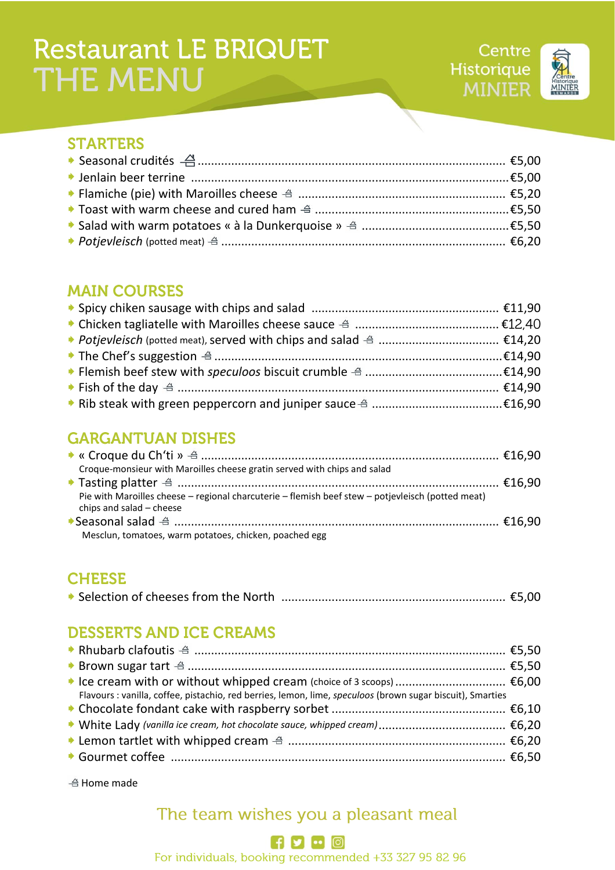# **Restaurant LE BRIQUET** THE MENU



#### **STARTERS**

#### **MAIN COURSES**

### **GARGANTUAN DISHES**

| Croque-monsieur with Maroilles cheese gratin served with chips and salad                                                      |  |
|-------------------------------------------------------------------------------------------------------------------------------|--|
|                                                                                                                               |  |
| Pie with Maroilles cheese - regional charcuterie - flemish beef stew - potjevleisch (potted meat)<br>chips and salad - cheese |  |
|                                                                                                                               |  |
| Mesclun, tomatoes, warm potatoes, chicken, poached egg                                                                        |  |

#### **CHEESE**

|--|--|--|

### **DESSERTS AND ICE CREAMS**

| Flavours : vanilla, coffee, pistachio, red berries, lemon, lime, speculoos (brown sugar biscuit), Smarties |  |
|------------------------------------------------------------------------------------------------------------|--|
|                                                                                                            |  |
|                                                                                                            |  |
|                                                                                                            |  |
|                                                                                                            |  |

 $\triangleq$  Home made

## The team wishes you a pleasant meal

#### $f$   $\bullet$   $\circ$   $\circ$

For individuals, booking recommended +33 327 95 82 96